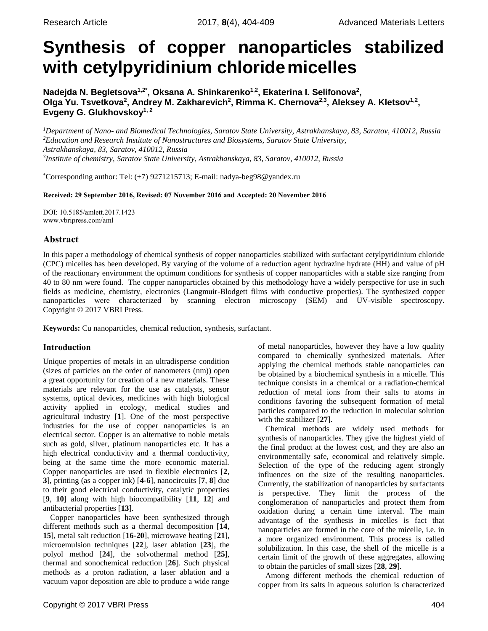# <span id="page-0-0"></span>**Synthesis of copper nanoparticles stabilized with cetylpyridinium chloridemicelles**

**Nadejda N. Begletsova1,2\* , Oksana A. Shinkarenko1,2 , Ekaterina I. Selifonova<sup>2</sup> ,**  Olga Yu. Tsvetkova<sup>2</sup>, Andrey M. Zakharevich<sup>2</sup>, Rimma K. Chernova<sup>2,3</sup>, Aleksey A. Kletsov<sup>1,2</sup>, **Evgeny G. Glukhovskoy1, <sup>2</sup>**

*Department of Nano- and Biomedical Technologies, Saratov State University, Astrakhanskaya, 83, Saratov, 410012, Russia Education and Research Institute of Nanostructures and Biosystems, Saratov State University, Astrakhanskaya, 83, Saratov, 410012, Russia Institute of chemistry, Saratov State University, Astrakhanskaya, 83, Saratov, 410012, Russia*

\*Corresponding author: Tel: (+7) 9271215713; E-mail: [nadya-beg98@yandex.ru](mailto:nadya-beg98@yandex.ru)

Received: 29 September 2016, Revised: 07 November 2016 and Accepted: 20 November 2016

DOI: 10.5185/amlett.2017.1423 www.vbripress.com/aml

## Abstract

In this paper a methodology of chemical synthesis of copper nanoparticles stabilized with surfactant cetylpyridinium chloride (CPC) micelles has been developed. By varying of the volume of a reduction agent hydrazine hydrate (HH) and value of pH of the reactionary environment the optimum conditions for synthesis of copper nanoparticles with a stable size ranging from 40 to 80 nm were found. The copper nanoparticles obtained by this methodology have a widely perspective for use in such fields as medicine, chemistry, electronics (Langmuir-Blodgett films with conductive properties). The synthesized copper nanoparticles were characterized by scanning electron microscopy (SEM) and UV-visible spectroscopy. Copyright © 2017 VBRI Press.

**Keywords:** Cu nanoparticles, chemical reduction, synthesis, surfactant.

## Introduction

Unique properties of metals in an ultradisperse condition (sizes of particles on the order of nanometers (nm)) open a great opportunity for creation of a new materials. These materials are relevant for the use as catalysts, sensor systems, optical devices, medicines with high biological activity applied in ecology, medical studies and agricultural industry [**1**]. One of the most perspective industries for the use of copper nanoparticles is an electrical sector. Copper is an alternative to noble metals such as gold, silver, platinum nanoparticles etc. It has a high electrical conductivity and a thermal conductivity, being at the same time the more economic material. Copper nanoparticles are used in flexible electronics [**2**, **3**], printing (as a copper ink) [**4-6**], nanocircuits [**7**, **8**] due to their good electrical conductivity, catalytic properties [**9**, **10**] along with high biocompatibility [**11**, **12**] and antibacterial properties [**13**].

Copper nanoparticles have been synthesized through different methods such as a thermal decomposition [**14**, **15**], metal salt reduction [**16-20**], microwave heating [**21**], microemulsion techniques [**22**], laser ablation [**23**], the polyol method [**24**], the solvothermal method [**25**], thermal and sonochemical reduction [**26**]. Such physical methods as a proton radiation, a laser ablation and a vacuum vapor deposition are able to produce a wide range of metal nanoparticles, however they have a low quality compared to chemically synthesized materials. After applying the chemical methods stable nanoparticles can be obtained by a biochemical synthesis in a micelle. This technique consists in a chemical or a radiation-chemical reduction of metal ions from their salts to atoms in conditions favoring the subsequent formation of metal particles compared to the reduction in molecular solution with the stabilizer [**27**].

Chemical methods are widely used methods for synthesis of nanoparticles. They give the highest yield of the final product at the lowest cost, and they are also an environmentally safe, economical and relatively simple. Selection of the type of the reducing agent strongly influences on the size of the resulting nanoparticles. Currently, the stabilization of nanoparticles by surfactants is perspective. They limit the process of the conglomeration of nanoparticles and protect them from oxidation during a certain time interval. The main advantage of the synthesis in micelles is fact that nanoparticles are formed in the core of the micelle, i.e. in a more organized environment. This process is called solubilization. In this case, the shell of the micelle is a certain limit of the growth of these aggregates, allowing to obtain the particles of small sizes [**28**, **29**].

Among different methods the chemical reduction of copper from its salts in aqueous solution is characterized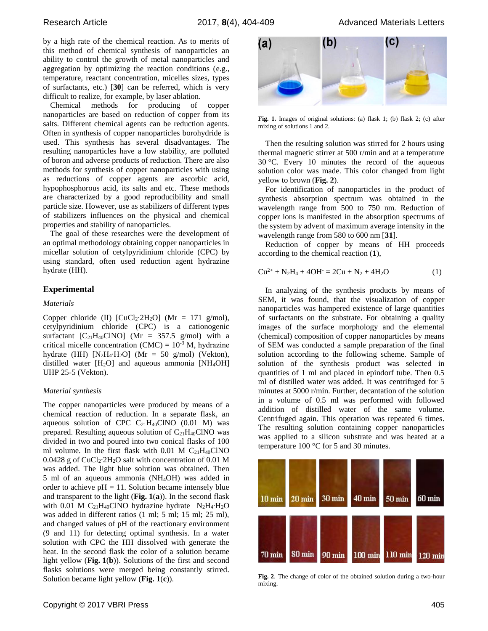Research Article **2017, 8**(4), 404-409 Advanced Materials Letters

by a high rate of the chemical reaction. As to merits of this method of chemical synthesis of nanoparticles an ability to control the growth of metal nanoparticles and aggregation by optimizing the reaction conditions (e.g., temperature, reactant concentration, micelles sizes, types of surfactants, etc.) [**30**] can be referred, which is very difficult to realize, for example, by laser ablation.

Chemical methods for producing of copper nanoparticles are based on reduction of copper from its salts. Different chemical agents can be reduction agents. Often in synthesis of copper nanoparticles borohydride is used. This synthesis has several disadvantages. The resulting nanoparticles have a low stability, are polluted of boron and adverse products of reduction. There are also methods for synthesis of copper nanoparticles with using as reductions of copper agents are ascorbic acid, hypophosphorous acid, its salts and etc. These methods are characterized by a good reproducibility and small particle size. However, use as stabilizers of different types of stabilizers influences on the physical and chemical properties and stability of nanoparticles.

The goal of these researches were the development of an optimal methodology obtaining copper nanoparticles in micellar solution of cetylpyridinium chloride (CPC) by using standard, often used reduction agent hydrazine hydrate (HH).

## **Experimental**

#### *Materials*

Copper chloride (II)  $\text{[CuCl}_2 \text{·} 2\text{H}_2\text{O}$  (Mr = 171 g/mol), cetylpyridinium chloride (CPC) is a cationogenic surfactant  $[C_{21}H_{40}CINO]$  (Mr = 357.5 g/mol) with a critical micelle concentration (CMC) =  $10^{-3}$  M, hydrazine hydrate (HH)  $[N_2H_4·H_2O]$  (Mr = 50 g/mol) (Vekton), distilled water  $[H_2O]$  and aqueous ammonia  $[NH_4OH]$ UHP 25-5 (Vekton).

#### *Material synthesis*

The copper nanoparticles were produced by means of a chemical reaction of reduction. In a separate flask, an aqueous solution of CPC  $C_{21}H_{40}CINO$  (0.01 M) was prepared. Resulting aqueous solution of  $C_{21}H_{40}CNO$  was divided in two and poured into two conical flasks of 100 ml volume. In the first flask with  $0.01$  M C<sub>21</sub>H<sub>40</sub>ClNO 0.0428 g of CuCl2∙2H2O salt with concentration of 0.01 M was added. The light blue solution was obtained. Then 5 ml of an aqueous ammonia (NH4OH) was added in order to achieve  $pH = 11$ . Solution became intensely blue and transparent to the light (**Fig. 1**(**a**)). In the second flask with 0.01 M C<sub>21</sub>H<sub>40</sub>ClNO hydrazine hydrate N<sub>2</sub>H<sub>4</sub>⋅H<sub>2</sub>O was added in different ratios (1 ml; 5 ml; 15 ml; 25 ml), and changed values of pH of the reactionary environment (9 and 11) for detecting optimal synthesis. In a water solution with CPC the HH dissolved with generate the heat. In the second flask the color of a solution became light yellow (**Fig. 1**(**b**)). Solutions of the first and second flasks solutions were merged being constantly stirred. Solution became light yellow (**Fig. 1**(**c**)).



**Fig. 1.** Images of original solutions: (a) flask 1; (b) flask 2; (c) after mixing of solutions 1 and 2.

Then the resulting solution was stirred for 2 hours using thermal magnetic stirrer at 500 r/min and at a temperature 30 °C. Every 10 minutes the record of the aqueous solution color was made. This color changed from light yellow to brown (**Fig. 2**).

For identification of nanoparticles in the product of synthesis absorption spectrum was obtained in the wavelength range from 500 to 750 nm. Reduction of copper ions is manifested in the absorption spectrums of the system by advent of maximum average intensity in the wavelength range from 580 to 600 nm [**31**].

Reduction of copper by means of HH proceeds according to the chemical reaction (**1**),

$$
Cu^{2+} + N_2H_4 + 4OH = 2Cu + N_2 + 4H_2O
$$
 (1)

In analyzing of the synthesis products by means of SEM, it was found, that the visualization of copper nanoparticles was hampered existence of large quantities of surfactants on the substrate. For obtaining a quality images of the surface morphology and the elemental (chemical) composition of copper nanoparticles by means of SEM was conducted a sample preparation of the final solution according to the following scheme. Sample of solution of the synthesis product was selected in quantities of 1 ml and placed in epindorf tube. Then 0.5 ml of distilled water was added. It was centrifuged for 5 minutes at 5000 r/min. Further, decantation of the solution in a volume of 0.5 ml was performed with followed addition of distilled water of the same volume. Centrifuged again. This operation was repeated 6 times. The resulting solution containing copper nanoparticles was applied to a silicon substrate and was heated at a temperature 100 °C for 5 and 30 minutes.



**Fig. 2**. The change of color of the obtained solution during a two-hour mixing.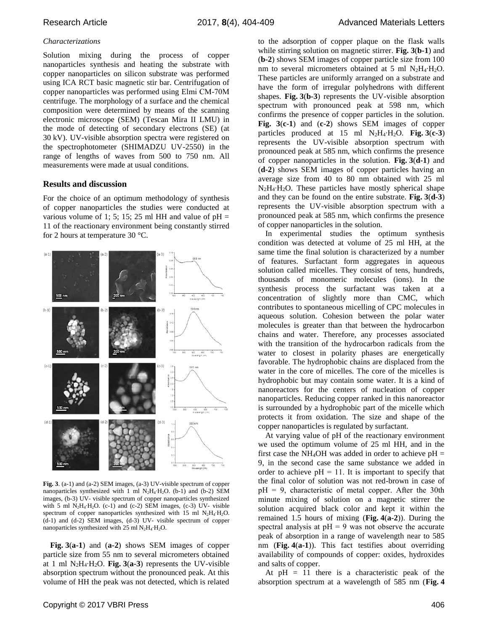#### *Characterizations*

Solution mixing during the process of copper nanoparticles synthesis and heating the substrate with copper nanoparticles on silicon substrate was performed using ICA RCT basic magnetic stir bar. Centrifugation of copper nanoparticles was performed using Elmi СМ-70М centrifuge. The morphology of a surface and the chemical composition were determined by means of the scanning electronic microscope (SEM) (Tescan Mira II LMU) in the mode of detecting of secondary electrons (SE) (at 30 kV). UV-visible absorption spectra were registered on the spectrophotometer (SHIMADZU UV-2550) in the range of lengths of waves from 500 to 750 nm. All measurements were made at usual conditions.

#### **Results and discussion**

For the choice of an optimum methodology of synthesis of copper nanoparticles the studies were conducted at various volume of 1; 5; 15; 25 ml HH and value of  $pH =$ 11 of the reactionary environment being constantly stirred for 2 hours at temperature 30 °C.



**Fig. 3**. (a-1) and (a-2) SEM images, (a-3) UV-visible spectrum of copper nanoparticles synthesized with 1 ml N<sub>2</sub>H<sub>4</sub>⋅H<sub>2</sub>O. (b-1) and (b-2) SEM images, (b-3) UV- visible spectrum of copper nanoparticles synthesized with 5 ml N<sub>2</sub>H<sub>4</sub>⋅H<sub>2</sub>O. (c-1) and (c-2) SEM images, (c-3) UV- visible spectrum of copper nanoparticles synthesized with 15 ml N<sub>2</sub>H<sub>4</sub>⋅H<sub>2</sub>O. (d-1) and (d-2) SEM images, (d-3) UV- visible spectrum of copper nanoparticles synthesized with 25 ml  $N_2H_4$ ⋅H<sub>2</sub>O.

**Fig. 3**(**a-1**) and (**a-2**) shows SEM images of copper particle size from 55 nm to several micrometers obtained at 1 ml N2H4∙H2O. **Fig. 3**(**a-3**) represents the UV-visible absorption spectrum without the pronounced peak. At this volume of HH the peak was not detected, which is related

to the adsorption of copper plaque on the flask walls while stirring solution on magnetic stirrer. **Fig. 3**(**b-1**) and (**b-2**) shows SEM images of copper particle size from 100 nm to several micrometers obtained at 5 ml N<sub>2</sub>H<sub>4</sub>⋅H<sub>2</sub>O. These particles are uniformly arranged on a substrate and have the form of irregular polyhedrons with different shapes. **Fig. 3**(**b-3**) represents the UV-visible absorption spectrum with pronounced peak at 598 nm, which confirms the presence of copper particles in the solution. **Fig. 3**(**c-1**) and (**c-2**) shows SEM images of copper particles produced at 15 ml N2H4∙H2O. **Fig. 3**(**c-3**) represents the UV-visible absorption spectrum with pronounced peak at 585 nm, which confirms the presence of copper nanoparticles in the solution. **Fig. 3**(**d-1**) and (**d-2**) shows SEM images of copper particles having an average size from 40 to 80 nm obtained with 25 ml N2H4∙H2O. These particles have mostly spherical shape and they can be found on the entire substrate. **Fig. 3**(**d-3**) represents the UV-visible absorption spectrum with a pronounced peak at 585 nm, which confirms the presence of copper nanoparticles in the solution.

In experimental studies the optimum synthesis condition was detected at volume of 25 ml HH, at the same time the final solution is characterized by a number of features. Surfactant form aggregates in aqueous solution called micelles. They consist of tens, hundreds, thousands of monomeric molecules (ions). In the synthesis process the surfactant was taken at a concentration of slightly more than CMC, which contributes to spontaneous micelling of CPC molecules in aqueous solution. Cohesion between the polar water molecules is greater than that between the hydrocarbon chains and water. Therefore, any processes associated with the transition of the hydrocarbon radicals from the water to closest in polarity phases are energetically favorable. The hydrophobic chains are displaced from the water in the core of micelles. The core of the micelles is hydrophobic but may contain some water. It is a kind of nanoreactors for the centers of nucleation of copper nanoparticles. Reducing copper ranked in this nanoreactor is surrounded by a hydrophobic part of the micelle which protects it from oxidation. The size and shape of the copper nanoparticles is regulated by surfactant.

At varying value of pH of the reactionary environment we used the optimum volume of 25 ml HH, and in the first case the NH<sub>4</sub>OH was added in order to achieve  $pH =$ 9, in the second case the same substance we added in order to achieve  $pH = 11$ . It is important to specify that the final color of solution was not red-brown in case of  $pH = 9$ , characteristic of metal copper. After the 30th minute mixing of solution on a magnetic stirrer the solution acquired black color and kept it within the remained 1.5 hours of mixing (**Fig. 4**(**a-2**)). During the spectral analysis at  $pH = 9$  was not observe the accurate peak of absorption in a range of wavelength near to 585 nm (**Fig. 4**(**a-1**)). This fact testifies about overriding availability of compounds of copper: oxides, hydroxides and salts of copper.

At  $pH = 11$  there is a characteristic peak of the absorption spectrum at a wavelength of 585 nm (**Fig. 4**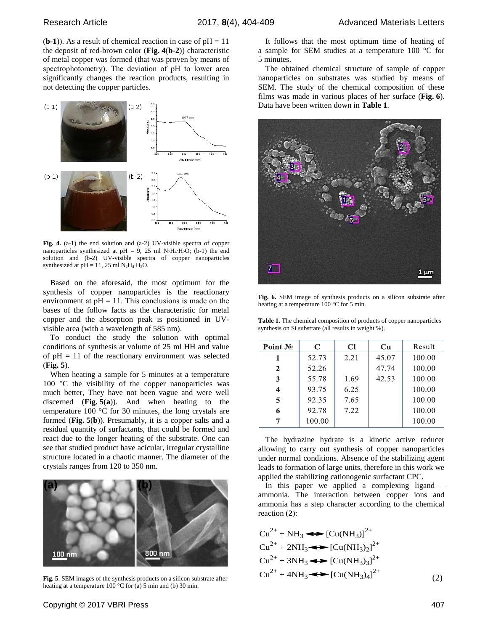$(b-1)$ ). As a result of chemical reaction in case of  $pH = 11$ the deposit of red-brown color (**Fig. 4**(**b-2**)) characteristic of metal copper was formed (that was proven by means of spectrophotometry). The deviation of pH to lower area significantly changes the reaction products, resulting in not detecting the copper particles.



**Fig. 4.** (a-1) the end solution and (a-2) UV-visible spectra of copper nanoparticles synthesized at pH = 9, 25 ml N<sub>2</sub>H<sub>4</sub>⋅H<sub>2</sub>O; (b-1) the end solution and (b-2) UV-visible spectra of copper nanoparticles synthesized at pH = 11, 25 ml  $N_2H_4·H_2O$ .

Based on the aforesaid, the most optimum for the synthesis of copper nanoparticles is the reactionary environment at  $pH = 11$ . This conclusions is made on the bases of the follow facts as the characteristic for metal copper and the absorption peak is positioned in UVvisible area (with a wavelength of 585 nm).

To conduct the study the solution with optimal conditions of synthesis at volume of 25 ml HH and value of  $pH = 11$  of the reactionary environment was selected (**Fig. 5**).

When heating a sample for 5 minutes at a temperature 100 °C the visibility of the copper nanoparticles was much better, They have not been vague and were well discerned (**Fig. 5**(**a**)). And when heating to the temperature 100 °C for 30 minutes, the long crystals are formed (**Fig. 5**(**b**)). Presumably, it is a copper salts and a residual quantity of surfactants, that could be formed and react due to the longer heating of the substrate. One can see that studied product have acicular, irregular crystalline structure located in a chaotic manner. The diameter of the crystals ranges from 120 to 350 nm.



**Fig. 5**. SEM images of the synthesis products on a silicon substrate after heating at a temperature 100 °C for (a) 5 min and (b) 30 min.

It follows that the most optimum time of heating of a sample for SEM studies at a temperature 100 °C for 5 minutes.

The obtained chemical structure of sample of copper nanoparticles on substrates was studied by means of SEM. The study of the chemical composition of these films was made in various places of her surface (**Fig. 6**). Data have been written down in **Table 1**.



**Fig. 6.** SEM image of synthesis products on a silicon substrate after heating at a temperature 100 °C for 5 min.

**Table 1.** The chemical composition of products of copper nanoparticles synthesis on Si substrate (all results in weight %).

| Point No                | C      | Cl   | $\mathbf{C}\mathbf{u}$ | Result |
|-------------------------|--------|------|------------------------|--------|
|                         | 52.73  | 2.21 | 45.07                  | 100.00 |
| $\mathbf{2}$            | 52.26  |      | 47.74                  | 100.00 |
| 3                       | 55.78  | 1.69 | 42.53                  | 100.00 |
| $\overline{\mathbf{4}}$ | 93.75  | 6.25 |                        | 100.00 |
| 5                       | 92.35  | 7.65 |                        | 100.00 |
| 6                       | 92.78  | 7.22 |                        | 100.00 |
|                         | 100.00 |      |                        | 100.00 |
|                         |        |      |                        |        |

The hydrazine hydrate is a kinetic active reducer allowing to carry out synthesis of copper nanoparticles under normal conditions. Absence of the stabilizing agent leads to formation of large units, therefore in this work we applied the stabilizing cationogenic surfactant CPC.

In this paper we applied a complexing ligand – ammonia. The interaction between copper ions and ammonia has a step character according to the chemical reaction (**2**):

$$
Cu^{2+} + NH_3 \longrightarrow [Cu(NH_3)]^{2+}
$$
  
\n
$$
Cu^{2+} + 2NH_3 \longrightarrow [Cu(NH_3)_2]^{2+}
$$
  
\n
$$
Cu^{2+} + 3NH_3 \longrightarrow [Cu(NH_3)_3]^{2+}
$$
  
\n
$$
Cu^{2+} + 4NH_3 \longrightarrow [Cu(NH_3)_4]^{2+}
$$
 (2)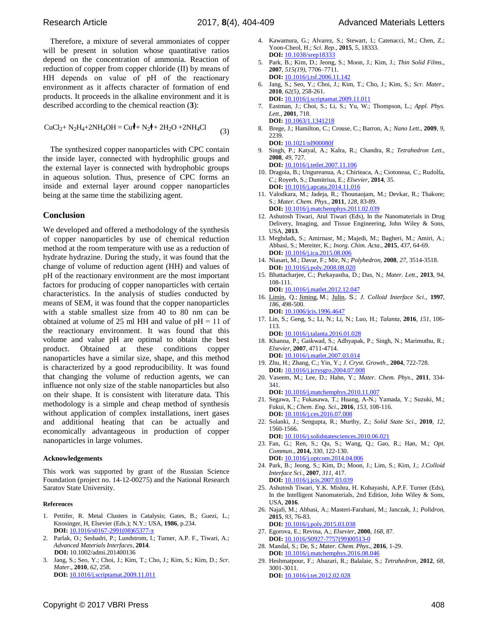Therefore, a mixture of several ammoniates of copper will be present in solution whose quantitative ratios depend on the concentration of ammonia. Reaction of reduction of copper from copper chloride (II) by means of HH depends on value of pH of the reactionary environment as it affects character of formation of end products. It proceeds in the alkaline environment and it is described according to the chemical reaction (**3**):

$$
CuCl2+N2H4+2NH4OH = Cu++N21+2H2O +2NH4Cl
$$
 (3)

The synthesized copper nanoparticles with CPC contain the inside layer, connected with hydrophilic groups and the external layer is connected with hydrophobic groups in aqueous solution. Thus, presence of CPC forms an inside and external layer around copper nanoparticles being at the same time the stabilizing agent.

## **Conclusion**

We developed and offered a methodology of the synthesis of copper nanoparticles by use of chemical reduction method at the room temperature with use as a reduction of hydrate hydrazine. During the study, it was found that the change of volume of reduction agent (HH) and values of pH of the reactionary environment are the most important factors for producing of copper nanoparticles with certain characteristics. In the analysis of studies conducted by means of SEM, it was found that the copper nanoparticles with a stable smallest size from 40 to 80 nm can be obtained at volume of 25 ml HH and value of  $pH = 11$  of the reactionary environment. It was found that this volume and value pH are optimal to obtain the best product. Obtained at these conditions copper nanoparticles have a similar size, shape, and this method is characterized by a good reproducibility. It was found that changing the volume of reduction agents, we can influence not only size of the stable nanoparticles but also on their shape. It is consistent with literature data. This methodology is a simple and cheap method of synthesis without application of complex installations, inert gases and additional heating that can be actually and economically advantageous in production of copper nanoparticles in large volumes.

#### **Acknowledgements**

This work was supported by grant of the Russian Science Foundation (project no. 14-12-00275) and the National Research Saratov State University.

#### **References**

- 1. Pettifer, R. Metal Clusters in Catalysis; Gates, B.; Guezi, L.; Knosinger, H, Elsevier (Eds.); N.Y.: USA, **1986**, p.234. **DOI:** [10.1016/s0167-2991\(08\)65377-x](#page-0-0)
- 2. Parlak, O.; Seshadri, P.; Lundstrom, I.; Turner, A.P. F., Tiwari, A.; *Advanced Materials Interfaces*, **2014**. **DOI:** 10.1002/admi.201400136
- 3. Jang, S.; Seo, Y.; Choi, J.; Kim, T.; Cho, J.; Kim, S.; Kim, D.; *Scr. Mater*., **2010**, *62*, 258. **DOI:** [10.1016/j.scriptamat.2009.11.011](http://dx.doi.org/10.1016/j.scriptamat.2009.11.011)
- 4. Kawamura, G.; Alvarez, S.; Stewart, I.; Catenacci, M.; Chen, Z.; Yoon-Cheol, H.; *Sci. Rep*., **2015**, *5*, 18333. **DOI:** 10.1038/srep18333
- 5. Park, B.; Kim, D.; Jeong, S.; Moon, J.; Kim, J.; *Thin Solid Films*., **2007**, *515(19)*, 7706–7711. **DOI:** [10.1016/j.tsf.2006.11.142](http://dx.doi.org/10.1016/j.tsf.2006.11.142)
- 6. Jang, S.; Seo, Y.; Choi, J.; Kim, T.; Cho, J.; Kim, S.; *Scr. Mater*., **2010**, *62(5)*, 258-261. **DOI:** [10.1016/j.scriptamat.2009.11.011](http://dx.doi.org/10.1016/j.scriptamat.2009.11.011)
- 7. Eastman, J.; Choi, S.; Li, S.; Yu, W.; Thompson, L.; *Appl. Phys. Lett*., **2001**, 718. **DOI:** [10.1063/1.1341218](http://dx.doi.org/10.1063/1.1341218)
- 8. Brege, J.; Hamilton, C.; Crouse, C.; Barron, A.; *Nano Lett*., **2009**, *9*, 2239.
- **DOI:** 10.1021/nl900080f 9. Singh, P.; Katyal, A.; Kalra, R.; Chandra, R.; *Tetrahedron Lett*., **2008**, *49*, 727.

**DOI:** [10.1016/j.tetlet.2007.11.106](http://dx.doi.org/10.1016/j.tetlet.2007.11.106)

- 10. Dragoia, B.; Ungureanua, A.; Chirieaca, A.; Ciotoneaa, С.; Rudolfa, С.; Royerb, S.; Dumitriua, E.; *Elsevier*, **2014**, 35. **DOI:** [10.1016/j.apcata.2014.11.016](http://dx.doi.org/10.1016/j.apcata.2014.11.016)
- 11. Valodkara, M.; Jadeja, R.; Thounaojam, M.; Devkar, R.; Thakore; S.; *Mater. Chem. Phys*., **2011**, *128*, 83-89. **DOI:** [10.1016/j.matchemphys.2011.02.039](http://dx.doi.org/10.1016/j.matchemphys.2011.02.039)
- 12. Ashutosh Tiwari, Atul Tiwari (Eds), In the Nanomaterials in Drug Delivery, Imaging, and Tissue Engineering, John Wiley & Sons, USA, **2013**.
- 13. Meghdadi, S.; Amirnasr, M.; Majedi, M.; Bagheri, M.; Amiri, A.; Abbasi, S.; Mereiter, K.; *Inorg. Chim. Acta*., **2015**, *437*, 64-69. **DOI:** [10.1016/j.ica.2015.08.006](http://dx.doi.org/10.1016/j.ica.2015.08.006)
- 14. Niasari, M.; Davar, F.; Mir, N.; *Polyhedron*, **2008**, *27*, 3514-3518. **DOI:** 10.1016/j.poly.2008.08.020
- 15. Bhattacharjee, C.; Purkayastha, D.; Das, N.; *Mater. Lett*., **2013**, 9*4*, 108-111.
- **DOI:** 10.1016/j.matlet.2012.12.047 16. [Limin,](http://www.sciencedirect.com/science/article/pii/S0021979796946470) Q.; [Jiming,](http://www.sciencedirect.com/science/article/pii/S0021979796946470) M.; [Julin,](http://www.sciencedirect.com/science/article/pii/S0021979796946470) S.; *J. Colloid Interface Sci*., **1997**, *186*, 498-500.
- **DOI:** [10.1006/jcis.1996.4647](http://dx.doi.org/10.1006/jcis.1996.4647) 17. Lin, S.; Geng, S.; Li, N.; Li, N.; Luo, H.; *Talanta*, **2016**, *151*, 106- 113.
- **DOI:** [10.1016/j.talanta.2016.01.028](http://dx.doi.org/10.1016/j.talanta.2016.01.028) 18. Khanna, P.; Gaikwad, S.; Adhyapak, P.; Singh, N.; Marimuthu, R.; *Elsevier*, **2007**, 4711-4714. **DOI:** [10.1016/j.matlet.2007.03.014](http://dx.doi.org/10.1016/j.matlet.2007.03.014)
- 19. Zhu, H.; Zhang, C.; Yin, Y.; *J. Cryst. Growth*., **2004**, 722-728. **DOI:** [10.1016/j.jcrysgro.2004.07.008](http://dx.doi.org/10.1016/j.jcrysgro.2004.07.008)
- 20. Vaseem, M.; Lee, D.; Hahn, Y.; *Mater. Chem. Phys*., **2011**, 334- 341.

**DOI:** [10.1016/j.matchemphys.2010.11.007](http://dx.doi.org/10.1016/j.matchemphys.2010.11.007)

- 21. Segawa, T.; Fukasawa, T.; Huang, A-N.; Yamada, Y.; Suzuki, M.; Fukui, K.; *Chem. Eng. Sci*., **2016**, *153*, 108-116. **DOI:** [10.1016/j.ces.2016.07.008](http://dx.doi.org/10.1016/j.ces.2016.07.008)
- 22. Solanki, J.; Sengupta, R.; Murthy, Z.; *Solid State Sci*., **2010**, *12*, 1560-1566.

**DOI:** [10.1016/j.solidstatesciences.2010.06.021](http://dx.doi.org/10.1016/j.solidstatesciences.2010.06.021)

- 23. Fan, G.; Ren, S.; Qu, S.; Wang, Q.; Gao, R.; Han, M.; *Opt. Commun*., **2014,** *330*, 122-130. **DOI:** [10.1016/j.optcom.2014.04.006](http://dx.doi.org/10.1016/j.optcom.2014.04.006)
- 24. Park, B.; Jeong, S.; Kim, D.; Moon, J.; Lim, S.; Kim, J.; *J.Colloid Interface Sci*., **2007**, *311*, 417.
- **DOI:** [10.1016/j.jcis.2007.03.039](http://dx.doi.org/10.1016/j.jcis.2007.03.039) 25. Ashutosh Tiwari, Y.K. Mishra, H. Kobayashi, A.P.F. Turner (Eds), In the Intelligent Nanomaterials, 2nd Edition, John Wiley & Sons, USA, **2016**.
- 26. Najafi, M.; Abbasi, A.; Masteri-Farahani, M.; Janczak, J.; *Polidron*, **2015**, *93*, 76-83.
- **DOI:** [10.1016/j.poly.2015.03.038](http://dx.doi.org/10.1016/j.poly.2015.03.038) 27. Egorova, E.; Revina, A.; *Elsevier*, **2000**, *168*, 87.
- **DOI:** [10.1016/S0927-7757\(99\)00513-0](http://dx.doi.org/10.1016/S0927-7757(99)00513-0) 28. Mandal, S.; De, S.; *Mater. Chem. Phys*., **2016**, 1-29.
- **DOI:** [10.1016/j.matchemphys.2016.08.046](http://dx.doi.org/10.1016/j.matchemphys.2016.08.046) 29. Heshmatpour, F.; Abazari, R.; Balalaie, S.; *Tetrahedron*, **2012**, *68*, 3001-3011. **DOI:** [10.1016/j.tet.2012.02.028](file:///D:/19-4-13/2016/AML%20Journal/2017/February-2017/Formating%20DOC/Nov-2016/26-11-2016/10.1016/j.tet.2012.02.028)